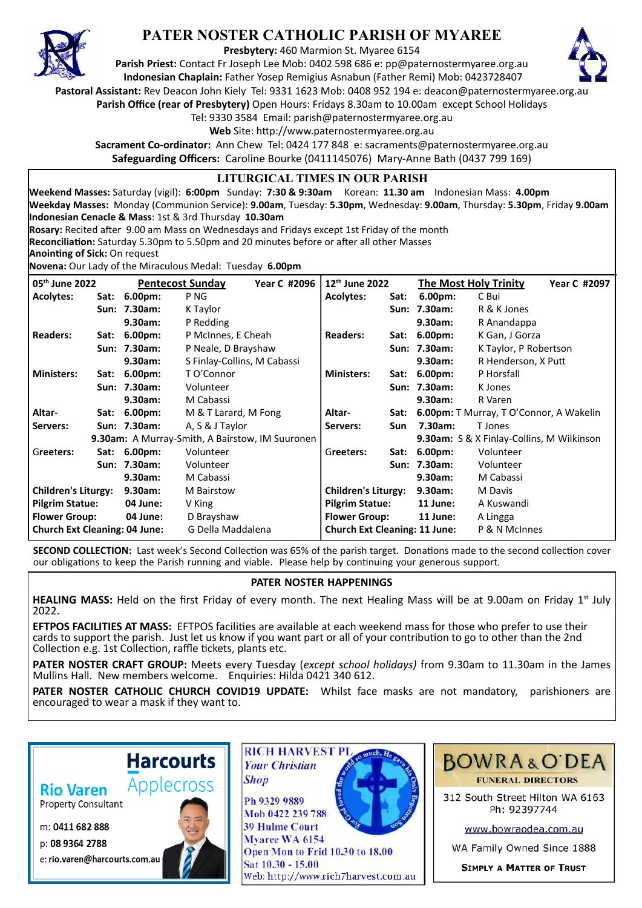

## **PATER NOSTER CATHOLIC PARISH OF MYAREE**

**Presbytery:** 460 Marmion St. Myaree 6154

**Parish Priest:** Contact Fr Joseph Lee Mob: 0402 598 686 e: pp@paternostermyaree.org.au **Indonesian Chaplain:** Father Yosep Remigius Asnabun (Father Remi) Mob: 0423728407



**Pastoral Assistant:** Rev Deacon John Kiely Tel: 9331 1623 Mob: 0408 952 194 e: deacon@paternostermyaree.org.au

**Parish Office (rear of Presbytery)** Open Hours: Fridays 8.30am to 10.00am except School Holidays

Tel: 9330 3584 Email: parish@paternostermyaree.org.au

Web Site: http://www.paternostermyaree.org.au

**Sacrament Co-ordinator:** Ann Chew Tel: 0424 177 848 e: sacraments@paternostermyaree.org.au **Safeguarding Officers:** Caroline Bourke (0411145076) Mary-Anne Bath (0437 799 169)

## **LITURGICAL TIMES IN OUR PARISH**

**Weekend Masses:** Saturday (vigil): **6:00pm** Sunday: **7:30 & 9:30am** Korean: **11.30 am** Indonesian Mass: **4.00pm Weekday Masses:** Monday (Communion Service): **9.00am**, Tuesday: **5.30pm**, Wednesday: **9.00am**, Thursday: **5.30pm**, Friday **9.00am Indonesian Cenacle & Mass**: 1st & 3rd Thursday **10.30am**

**Rosary:** Recited a�er 9.00 am Mass on Wednesdays and Fridays except 1st Friday of the month

**Reconciliation:** Saturday 5.30pm to 5.50pm and 20 minutes before or after all other Masses

**Anoin�ng of Sick:** On request

**Novena:** Our Lady of the Miraculous Medal: Tuesday **6.00pm**

| 05th June 2022                                            |      | <b>Pentecost Sunday</b><br>Year C #2096 |                             | 12 <sup>th</sup> June 2022           |                            | <b>The Most Holy Trinity</b> |                                                  | Year C #2097                                   |  |
|-----------------------------------------------------------|------|-----------------------------------------|-----------------------------|--------------------------------------|----------------------------|------------------------------|--------------------------------------------------|------------------------------------------------|--|
| <b>Acolytes:</b>                                          | Sat: | $6.00pm$ :                              | P <sub>NG</sub>             |                                      | <b>Acolytes:</b>           | Sat:                         | $6.00pm$ :                                       | C Bui                                          |  |
|                                                           |      | Sun: 7.30am:                            | K Taylor                    |                                      |                            |                              | Sun: 7.30am:                                     | R & K Jones                                    |  |
|                                                           |      | 9.30am:                                 | P Redding                   |                                      |                            |                              | 9.30am:                                          | R Anandappa                                    |  |
| <b>Readers:</b>                                           | Sat: | 6.00 <sub>pm</sub>                      | P McInnes, E Cheah          |                                      | <b>Readers:</b>            |                              | Sat: 6.00pm:                                     | K Gan, J Gorza                                 |  |
|                                                           |      | Sun: 7.30am:                            | P Neale, D Brayshaw         |                                      |                            |                              | Sun: 7.30am:                                     | K Taylor, P Robertson                          |  |
|                                                           |      | 9.30am:                                 | S Finlay-Collins, M Cabassi |                                      |                            |                              | 9.30am:                                          | R Henderson, X Putt                            |  |
| <b>Ministers:</b>                                         | Sat: | $6.00pm$ :                              | T O'Connor                  |                                      | <b>Ministers:</b>          | Sat:                         | 6.00 <sub>pm</sub>                               | P Horsfall                                     |  |
|                                                           |      | Sun: 7.30am:                            | Volunteer                   |                                      |                            |                              | Sun: 7.30am:                                     | K Jones                                        |  |
|                                                           |      | 9.30am:                                 | M Cabassi                   |                                      |                            |                              | 9.30am:                                          | R Varen                                        |  |
| Altar-                                                    |      | Sat: 6.00pm:                            | M & T Larard, M Fong        |                                      | Altar-                     | Sat:                         |                                                  | <b>6.00pm:</b> T Murray, T O'Connor, A Wakelin |  |
| Servers:                                                  |      | Sun: 7.30am:                            | A, S & J Taylor             |                                      | Servers:                   | Sun                          | 7.30am:                                          | T Jones                                        |  |
| 9.30am: A Murray-Smith, A Bairstow, IM Suuronen           |      |                                         |                             |                                      |                            |                              | <b>9.30am:</b> S & X Finlay-Collins, M Wilkinson |                                                |  |
| Greeters:                                                 |      | Sat: 6.00pm:                            | Volunteer                   |                                      | Greeters:                  | Sat:                         | 6.00 <sub>pm</sub>                               | Volunteer                                      |  |
|                                                           |      | Sun: 7.30am:                            | Volunteer                   |                                      |                            |                              | Sun: 7.30am:                                     | Volunteer                                      |  |
|                                                           |      | 9.30am:                                 | M Cabassi                   |                                      |                            |                              | 9.30am:                                          | M Cabassi                                      |  |
| <b>Children's Liturgy:</b>                                |      | $9.30$ am:                              | M Bairstow                  |                                      | <b>Children's Liturgy:</b> |                              | $9.30$ am:                                       | M Davis                                        |  |
| <b>Pilgrim Statue:</b>                                    |      | 04 June:                                | V King                      |                                      | <b>Pilgrim Statue:</b>     |                              | 11 June:                                         | A Kuswandi                                     |  |
| <b>Flower Group:</b>                                      |      | 04 June:                                | D Brayshaw                  |                                      | <b>Flower Group:</b>       |                              | 11 June:                                         | A Lingga                                       |  |
| <b>Church Ext Cleaning: 04 June:</b><br>G Della Maddalena |      |                                         |                             | <b>Church Ext Cleaning: 11 June:</b> |                            |                              | P & N McInnes                                    |                                                |  |

**SECOND COLLECTION:** Last week's Second Collection was 65% of the parish target. Donations made to the second collection cover our obligations to keep the Parish running and viable. Please help by continuing your generous support.

## **PATER NOSTER HAPPENINGS**

**HEALING MASS:** Held on the first Friday of every month. The next Healing Mass will be at 9.00am on Friday 1<sup>st</sup> July 2022.

**EFTPOS FACILITIES AT MASS:** EFTPOS facili�es are available at each weekend mass for those who prefer to use their cards to support the parish. Just let us know if you want part or all of your contribution to go to other than the 2nd Collection e.g. 1st Collection, raffle tickets, plants etc.

**PATER NOSTER CRAFT GROUP:** Meets every Tuesday (*except school holidays)* from 9.30am to 11.30am in the James Mullins Hall. New members welcome. Enquiries: Hilda 0421 340 612.

**PATER NOSTER CATHOLIC CHURCH COVID19 UPDATE:** Whilst face masks are not mandatory, parishioners are encouraged to wear a mask if they want to.

## **Rio Varen**

**Property Consultant** 

m: 0411 682 888

p: 08 9364 2788 e: rio.varen@harcourts.com.au



**Harcourts** 



**39 Hulme Court** Myaree WA 6154 Open Mon to Frid 10.30 to 18.00 Sat 10.30 - 15.00 Web: http://www.rich7harvest.com.au



312 South Street Hilton WA 6163 Ph: 92397744

www.bowraodea.com.au

WA Family Owned Since 1888

**SIMPLY A MATTER OF TRUST**